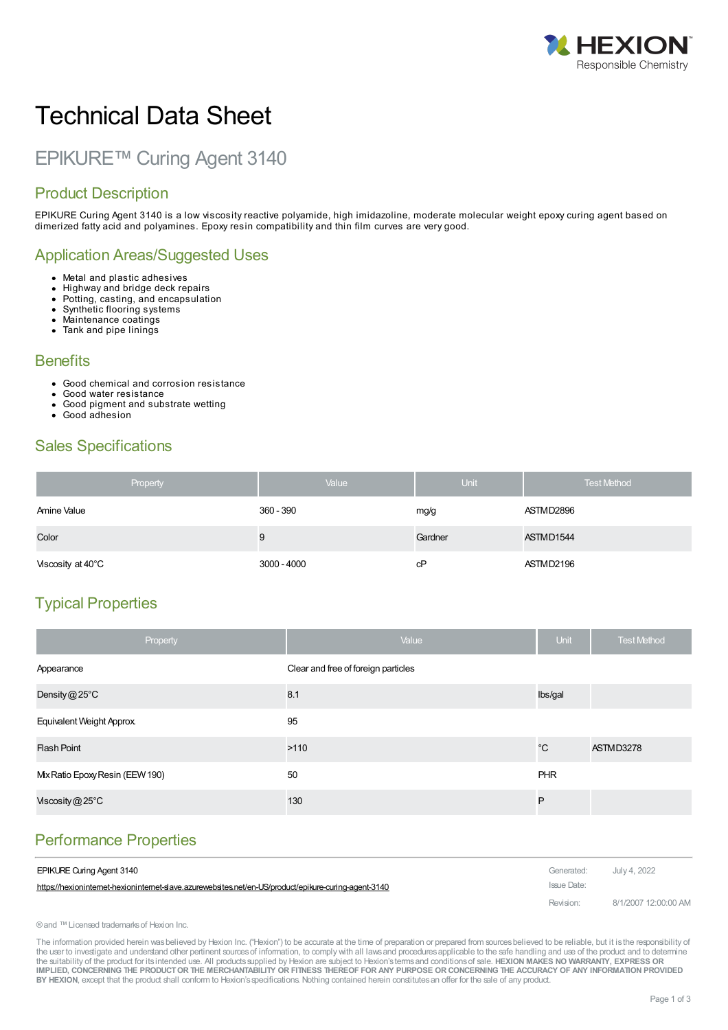

# Technical Data Sheet

## EPIKURE™ Curing Agent 3140

#### Product Description

EPIKURE Curing Agent 3140 is a low viscosity reactive polyamide, high imidazoline, moderate molecular weight epoxy curing agent based on dimerized fatty acid and polyamines. Epoxy resin compatibility and thin film curves are very good.

#### Application Areas/Suggested Uses

- Metal and plastic adhesives
- Highway and bridge deck repairs  $\bullet$  $\bullet$
- Potting, casting, and encapsulation Synthetic flooring systems  $\bullet$
- Maintenance coatings  $\bullet$
- Tank and pipe linings
- 

#### **Benefits**

- Good chemical and corrosion resistance
- Good water resistance
- Good pigment and substrate wetting Good adhesion
- 

### Sales Specifications

| Property          | Value         | Unit    | <b>Test Method</b> |
|-------------------|---------------|---------|--------------------|
| Amine Value       | 360 - 390     | mg/g    | ASTMD2896          |
| Color             | 9             | Gardner | ASTMD1544          |
| Viscosity at 40°C | $3000 - 4000$ | cP      | ASTMD2196          |

## Typical Properties

| Property                        | Value                               | Unit        | <b>Test Method</b> |
|---------------------------------|-------------------------------------|-------------|--------------------|
| Appearance                      | Clear and free of foreign particles |             |                    |
| Density $@25^{\circ}$ C         | 8.1                                 | Ibs/gal     |                    |
| Equivalent Weight Approx.       | 95                                  |             |                    |
| <b>Flash Point</b>              | >110                                | $^{\circ}C$ | ASTMD3278          |
| Mix Ratio Epoxy Resin (EEW 190) | 50                                  | <b>PHR</b>  |                    |
| Viscosity@25°C                  | 130                                 | P           |                    |

## [Performance](https://hexioninternet-hexioninternet-slave.azurewebsites.net/en-US/product/epikure-curing-agent-3140) Properties

| <b>EPIKURE Curing Agent 3140</b>                                                                    | Generated:  | July 4. 2022         |
|-----------------------------------------------------------------------------------------------------|-------------|----------------------|
| https://hexionintemet-hexionintemet-slave.azurewebsites.net/en-US/product/epikure-curing-agent-3140 | Issue Date: |                      |
|                                                                                                     | Revision:   | 8/1/2007 12:00:00 AM |

® and ™ Licensed trademarks of Hexion Inc.

The information provided herein was believed by Hexion Inc. ("Hexion") to be accurate at the time of preparation or prepared from sources believed to be reliable, but it is the responsibility of the user to investigate and understand other pertinent sources of information, to comply with all laws and procedures applicable to the safe handling and use of the product and to determine the suitability of the product for itsintended use. All productssupplied by Hexion are subject to Hexion'stermsand conditionsof sale. **HEXION MAKES NO WARRANTY, EXPRESS OR** IMPLIED, CONCERNING THE PRODUCT OR THE MERCHANTABILITY OR FITNESS THEREOF FOR ANY PURPOSE OR CONCERNING THE ACCURACY OF ANY INFORMATION PROVIDED **BY HEXION**, except that the product shall conform to Hexion'sspecifications. Nothing contained herein constitutesan offer for the sale of any product.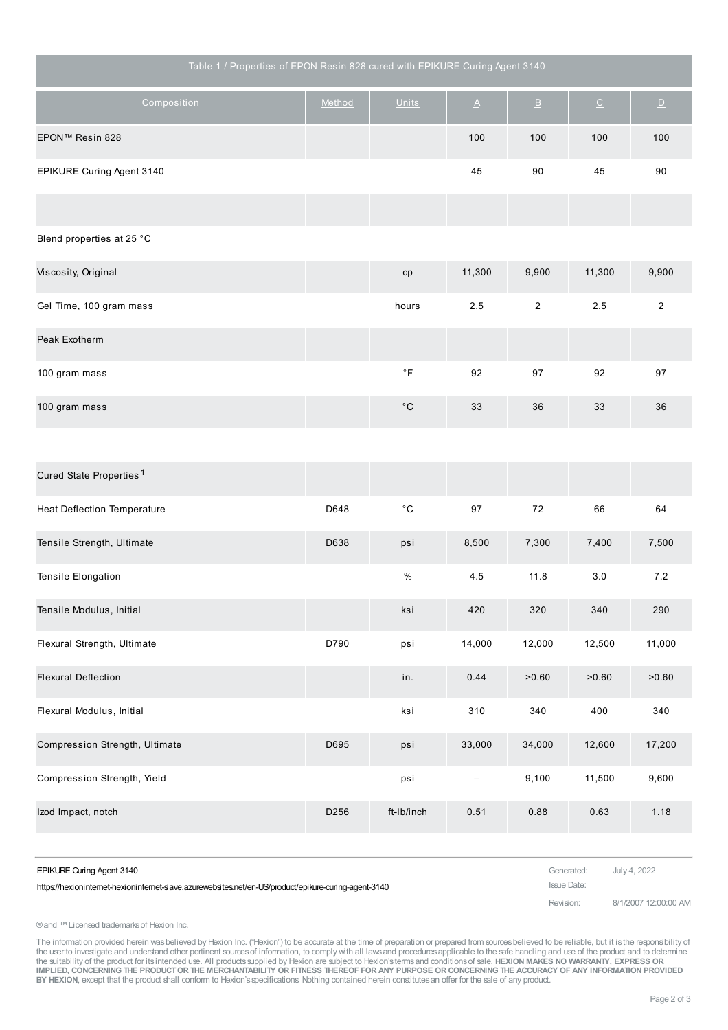| Table 1 / Properties of EPON Resin 828 cured with EPIKURE Curing Agent 3140 |        |                    |          |                           |                          |                          |
|-----------------------------------------------------------------------------|--------|--------------------|----------|---------------------------|--------------------------|--------------------------|
| Composition                                                                 | Method | <b>Units</b>       | $\Delta$ | $\ensuremath{\mathsf{B}}$ | $\underline{\mathbb{C}}$ | $\underline{\mathsf{D}}$ |
| EPON™ Resin 828                                                             |        |                    | 100      | 100                       | 100                      | 100                      |
| EPIKURE Curing Agent 3140                                                   |        |                    | 45       | 90                        | 45                       | 90                       |
|                                                                             |        |                    |          |                           |                          |                          |
| Blend properties at 25 °C                                                   |        |                    |          |                           |                          |                          |
| Viscosity, Original                                                         |        | cp                 | 11,300   | 9,900                     | 11,300                   | 9,900                    |
| Gel Time, 100 gram mass                                                     |        | hours              | $2.5\,$  | $\overline{2}$            | 2.5                      | $\overline{2}$           |
| Peak Exotherm                                                               |        |                    |          |                           |                          |                          |
| 100 gram mass                                                               |        | $^\circ\mathsf{F}$ | 92       | 97                        | 92                       | 97                       |
| 100 gram mass                                                               |        | $^\circ \text{C}$  | 33       | 36                        | 33                       | 36                       |
|                                                                             |        |                    |          |                           |                          |                          |
| Cured State Properties <sup>1</sup>                                         |        |                    |          |                           |                          |                          |

| <b>Heat Deflection Temperature</b> | D648             | $^{\circ}$ C | 97     | 72     | 66     | 64     |
|------------------------------------|------------------|--------------|--------|--------|--------|--------|
| Tensile Strength, Ultimate         | D638             | psi          | 8,500  | 7,300  | 7,400  | 7,500  |
| Tensile Elongation                 |                  | $\%$         | 4.5    | 11.8   | 3.0    | 7.2    |
| Tensile Modulus, Initial           |                  | ksi          | 420    | 320    | 340    | 290    |
| Flexural Strength, Ultimate        | D790             | psi          | 14,000 | 12,000 | 12,500 | 11,000 |
| <b>Flexural Deflection</b>         |                  | in.          | 0.44   | >0.60  | >0.60  | >0.60  |
| Flexural Modulus, Initial          |                  | ksi          | 310    | 340    | 400    | 340    |
| Compression Strength, Ultimate     | D695             | psi          | 33,000 | 34,000 | 12,600 | 17,200 |
| Compression Strength, Yield        |                  | psi          | -      | 9,100  | 11,500 | 9,600  |
| Izod Impact, notch                 | D <sub>256</sub> | ft-Ib/inch   | 0.51   | 0.88   | 0.63   | 1.18   |

| EPIKURE Curing Agent 3140                                                                           | Generated: July 4, 2022 |                      |
|-----------------------------------------------------------------------------------------------------|-------------------------|----------------------|
| https://hexionintemet-hexionintemet-slave.azurewebsites.net/en-US/product/epikure-curing-agent-3140 | Issue Date:             |                      |
|                                                                                                     | Revision:               | 8/1/2007 12:00:00 AM |

#### ®and ™Licensed trademarksof Hexion Inc.

The information provided herein wasbelieved by Hexion Inc. ("Hexion") to be accurate at the time of preparation or prepared from sources believed to be reliable, but it is the responsibility of<br>the user to investigate and IMPLIED, CONCERNING THE PRODUCT OR THE MERCHANTABILITY OR FITNESS THEREOF FOR ANY PURPOSE OR CONCERNING THE ACCURACY OF ANY INFORMATION PROVIDED<br>BY HEXION, except that the product shall conform to Hexion's specifications.